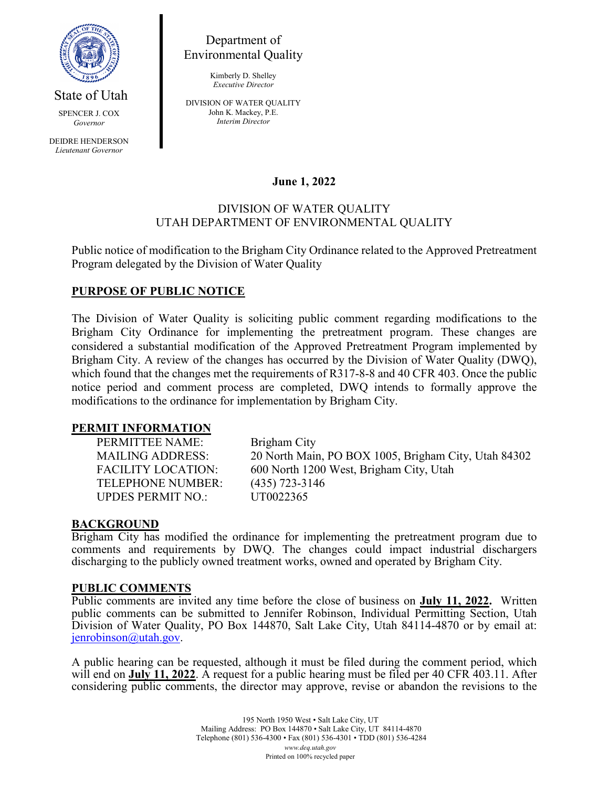

Department of Environmental Quality

> Kimberly D. Shelley *Executive Director*

SPENCER J. COX *Governor*

State of Utah

DEIDRE HENDERSON *Lieutenant Governor*

DIVISION OF WATER QUALITY John K. Mackey, P.E. *Interim Director*

# **June 1, 2022**

### DIVISION OF WATER QUALITY UTAH DEPARTMENT OF ENVIRONMENTAL QUALITY

Public notice of modification to the Brigham City Ordinance related to the Approved Pretreatment Program delegated by the Division of Water Quality

# **PURPOSE OF PUBLIC NOTICE**

The Division of Water Quality is soliciting public comment regarding modifications to the Brigham City Ordinance for implementing the pretreatment program. These changes are considered a substantial modification of the Approved Pretreatment Program implemented by Brigham City. A review of the changes has occurred by the Division of Water Quality (DWQ), which found that the changes met the requirements of R317-8-8 and 40 CFR 403. Once the public notice period and comment process are completed, DWQ intends to formally approve the modifications to the ordinance for implementation by Brigham City.

#### **PERMIT INFORMATION**

PERMITTEE NAME: Brigham City TELEPHONE NUMBER: (435) 723-3146 UPDES PERMIT NO.: UT0022365

MAILING ADDRESS: 20 North Main, PO BOX 1005, Brigham City, Utah 84302 FACILITY LOCATION: 600 North 1200 West, Brigham City, Utah

### **BACKGROUND**

Brigham City has modified the ordinance for implementing the pretreatment program due to comments and requirements by DWQ. The changes could impact industrial dischargers discharging to the publicly owned treatment works, owned and operated by Brigham City.

#### **PUBLIC COMMENTS**

Public comments are invited any time before the close of business on **July 11, 2022.** Written public comments can be submitted to Jennifer Robinson, Individual Permitting Section, Utah Division of Water Quality, PO Box 144870, Salt Lake City, Utah 84114-4870 or by email at: [jenrobinson@utah.gov.](mailto:jenrobinson@utah.gov)

A public hearing can be requested, although it must be filed during the comment period, which will end on **July 11, 2022**. A request for a public hearing must be filed per 40 CFR 403.11. After considering public comments, the director may approve, revise or abandon the revisions to the